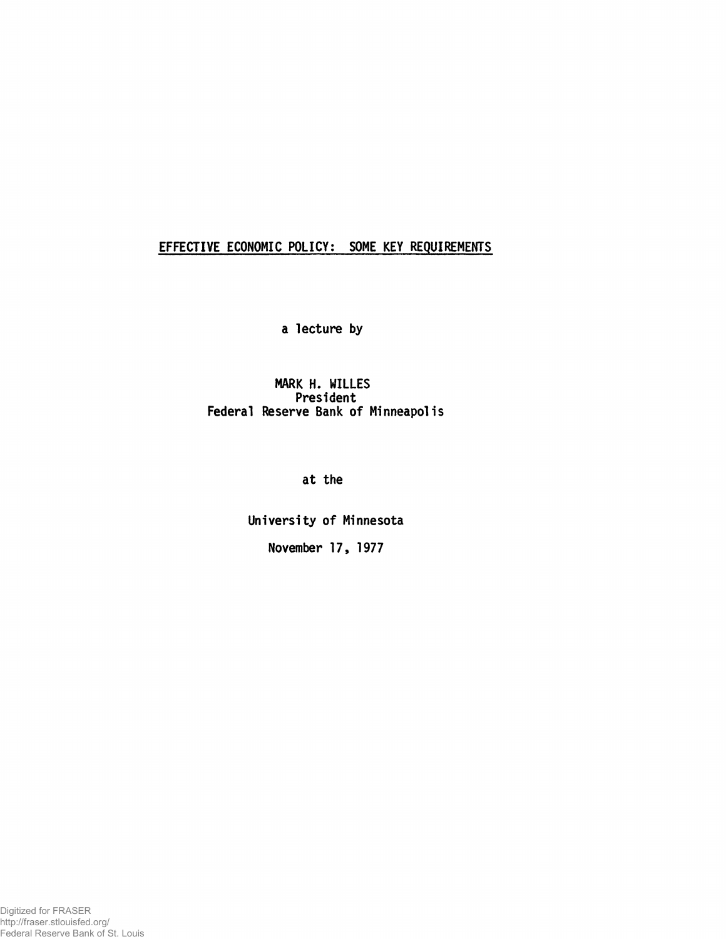# EFFECTIVE ECONOMIC POLICY: SOME KEY REQUIREMENTS

a lecture by

MARK H. WILLES President Federal Reserve Bank of Minneapolis

at the

University of Minnesota November 17, 1977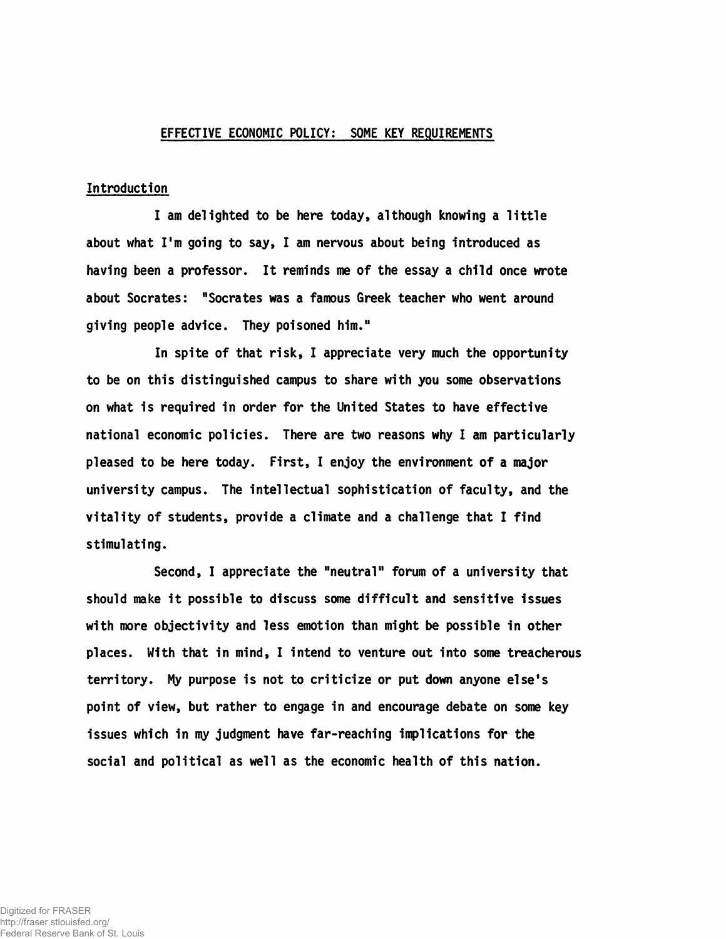#### EFFECTIVE ECONOMIC POLICY: SOME KEY REQUIREMENTS

#### Introduction

I am delighted to be here today, although knowing a little about what I'm going to say, I am nervous about being introduced as having been a professor. It reminds me of the essay a child once wrote about Socrates: "Socrates was a famous Greek teacher who went around giving people advice. They poisoned him."

In spite of that risk, I appreciate very much the opportunity to be on this distinguished campus to share with you some observations on what is required in order for the United States to have effective national economic policies. There are two reasons why I am particularly pleased to be here today. First, I enjoy the environment of a major university campus. The intellectual sophistication of faculty, and the vitality of students, provide a climate and a challenge that I find stimulating.

Second, I appreciate the "neutral" forum of a university that should make it possible to discuss some difficult and sensitive issues with more objectivity and less emotion than might be possible in other places. With that in mind, I intend to venture out into some treacherous territory. My purpose is not to criticize or put down anyone else's point of view, but rather to engage in and encourage debate on some key issues which in my judgment have far-reaching implications for the social and political as well as the economic health of this nation.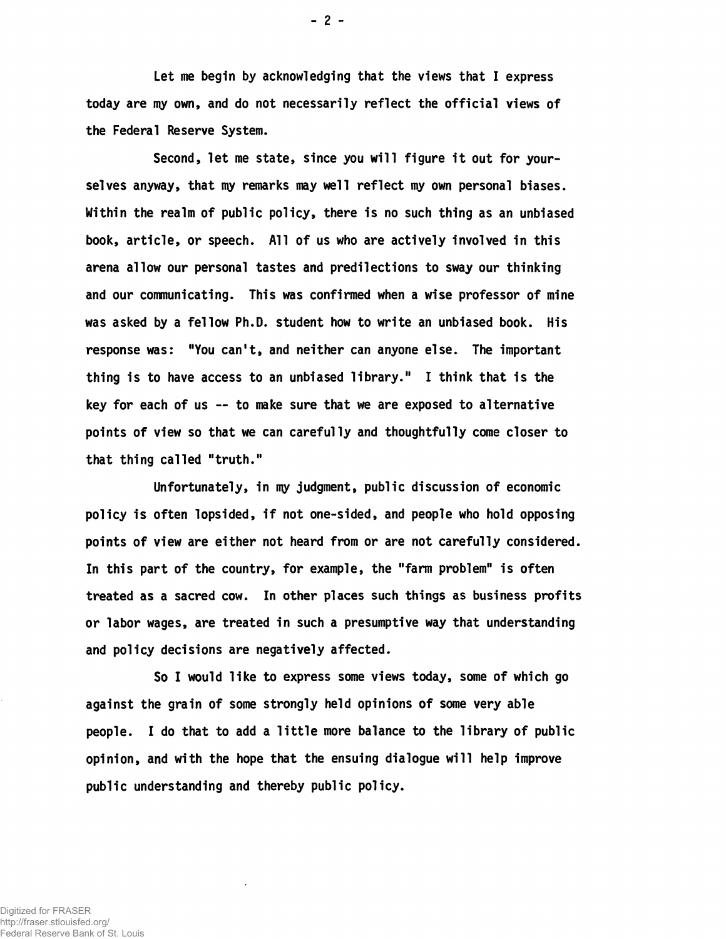Let me begin by acknowledging that the views that I express today are my own, and do not necessarily reflect the official views of the Federal Reserve System.

Second, let me state, since you will figure it out for yourselves anyway, that my remarks may well reflect my own personal biases. Within the realm of public policy, there is no such thing as an unbiased book, article, or speech. All of us who are actively involved in this arena allow our personal tastes and predilections to sway our thinking and our communicating. This was confirmed when a wise professor of mine was asked by a fellow Ph.D. student how to write an unbiased book. His response was: "You can't, and neither can anyone else. The important thing is to have access to an unbiased library." I think that is the key for each of us — to make sure that we are exposed to alternative points of view so that we can carefully and thoughtfully come closer to that thing called "truth."

Unfortunately, in my judgment, public discussion of economic policy is often lopsided, if not one-sided, and people who hold opposing points of view are either not heard from or are not carefully considered. In this part of the country, for example, the "farm problem" is often treated as a sacred cow. In other places such things as business profits or labor wages, are treated in such a presumptive way that understanding and policy decisions are negatively affected.

So I would like to express some views today, some of which go against the grain of some strongly held opinions of some very able people. I do that to add a little more balance to the library of public opinion, and with the hope that the ensuing dialogue will help improve public understanding and thereby public policy.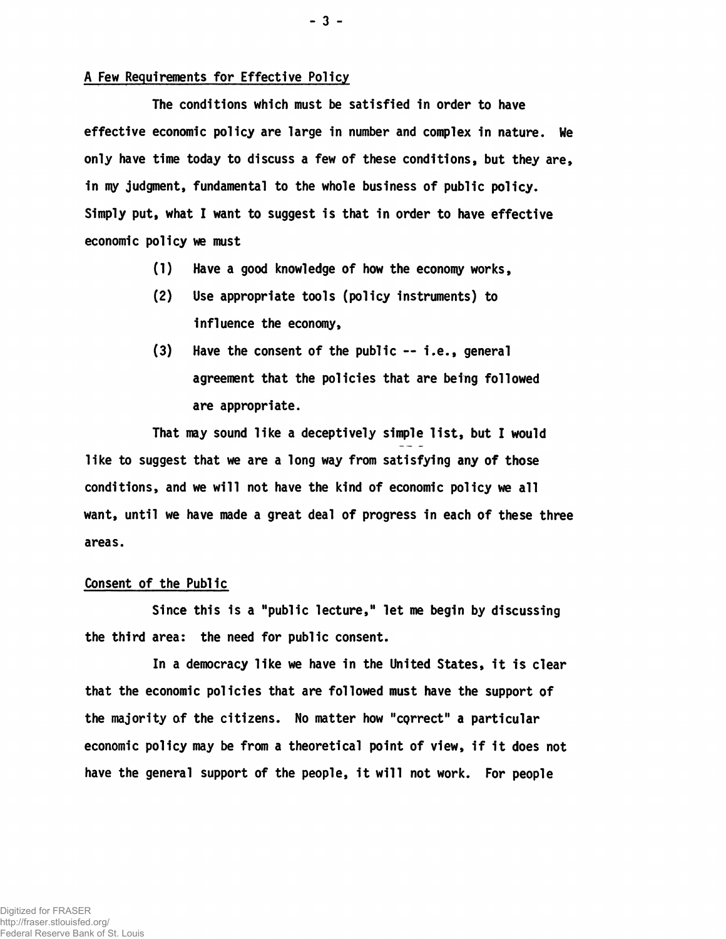# A Few Requirements for Effective Policy

The conditions which must be satisfied in order to have effective economic policy are large in number and complex in nature. We only have time today to discuss a few of these conditions, but they are, in my judgment, fundamental to the whole business of public policy. Simply put, what I want to suggest is that in order to have effective economic policy we must

- (1) Have a good knowledge of how the economy works,
- (2) Use appropriate tools (policy instruments) to influence the economy,
- (3) Have the consent of the public i.e., general agreement that the policies that are being followed are appropriate.

That may sound like a deceptively simple list, but I would like to suggest that we are a long way from satisfying any of those conditions, and we will not have the kind of economic policy we all want, until we have made a great deal of progress in each of these three areas.

## Consent of the Public

Since this is a "public lecture," let me begin by discussing the third area: the need for public consent.

In a democracy like we have in the United States, it is clear that the economic policies that are followed must have the support of the majority of the citizens. No matter how "cQrrect" a particular economic policy may be from a theoretical point of view, if it does not have the general support of the people, it will not work. For people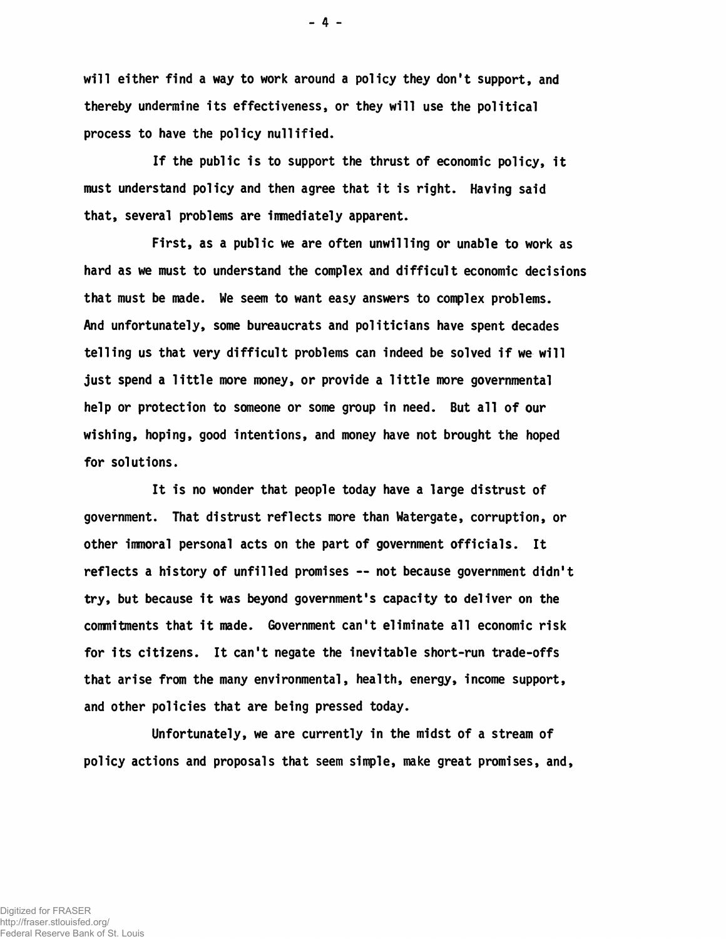will either find a way to work around a policy they don't support, and thereby undermine its effectiveness, or they will use the political process to have the policy nullified.

If the public is to support the thrust of economic policy, it must understand policy and then agree that it is right. Having said that, several problems are immediately apparent.

First, as a public we are often unwilling or unable to work as hard as we must to understand the complex and difficult economic decisions that must be made. Me seem to want easy answers to complex problems. And unfortunately, some bureaucrats and politicians have spent decades telling us that very difficult problems can indeed be solved if we will just spend a little more money, or provide a little more governmental help or protection to someone or some group in need. But all of our wishing, hoping, good intentions, and money have not brought the hoped for solutions.

It is no wonder that people today have a large distrust of government. That distrust reflects more than Watergate, corruption, or other immoral personal acts on the part of government officials. It reflects a history of unfilled promises — not because government didn't try, but because it was beyond government's capacity to deliver on the commitments that it made. Government can't eliminate all economic risk for its citizens. It can't negate the inevitable short-run trade-offs that arise from the many environmental, health, energy, income support, and other policies that are being pressed today.

Unfortunately, we are currently in the midst of a stream of policy actions and proposals that seem simple, make great promises, and,

 $-4 -$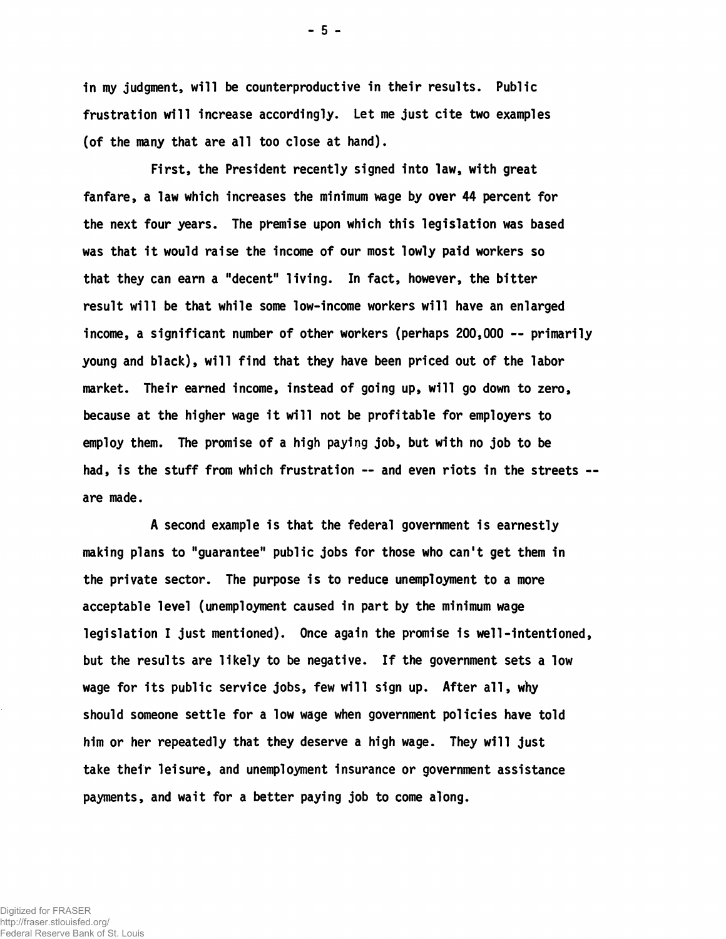in my judgment, will be counterproductive in their results. Public frustration will increase accordingly. Let me just cite two examples (of the many that are all too close at hand).

First, the President recently signed into law, with great fanfare, a law which increases the minimum wage by over 44 percent for the next four years. The premise upon which this legislation was based was that it would raise the income of our most lowly paid workers so that they can earn a "decent" living. In fact, however, the bitter result will be that while some low-income workers will have an enlarged income, a significant number of other workers (perhaps 200,000 — primarily young and black), will find that they have been priced out of the labor market. Their earned income, instead of going up, will go down to zero, because at the higher wage it will not be profitable for employers to employ them. The promise of a high paying job, but with no job to be had, is the stuff from which frustration -- and even riots in the streets -are made.

A second example is that the federal government is earnestly making plans to "guarantee" public jobs for those who can't get them in the private sector. The purpose is to reduce unemployment to a more acceptable level (unemployment caused in part by the minimum wage legislation I just mentioned). Once again the promise is well-intentioned, but the results are likely to be negative. If the government sets a low wage for its public service jobs, few will sign up. After all, why should someone settle for a low wage when government policies have told him or her repeatedly that they deserve a high wage. They will just take their leisure, and unemployment insurance or government assistance payments, and wait for a better paying job to come along.

- 5 -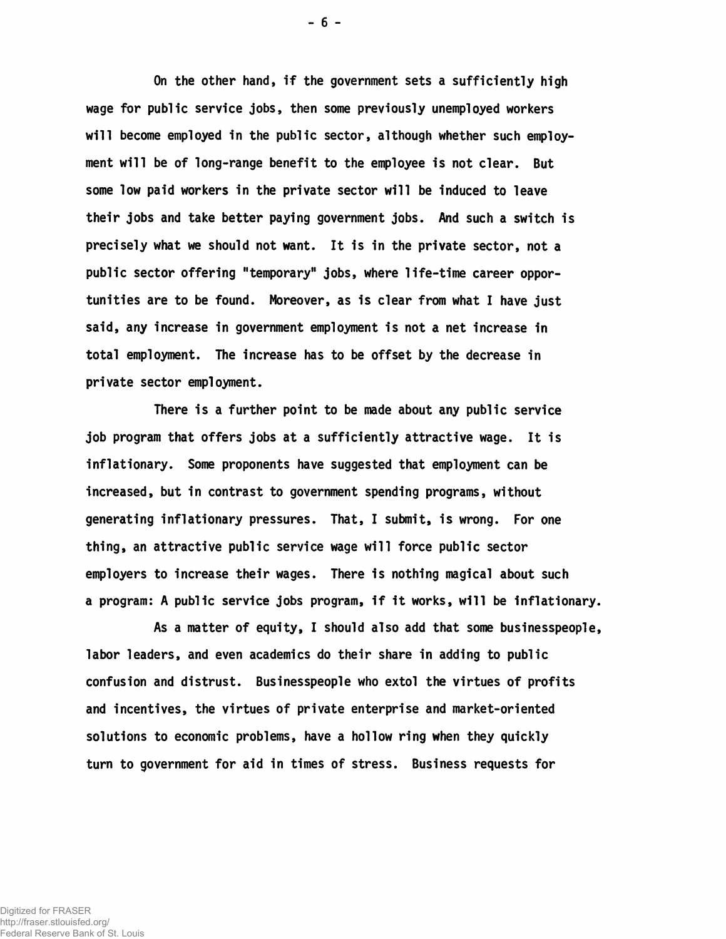On the other hand, if the government sets a sufficiently high wage for public service jobs, then some previously unemployed workers will become employed in the public sector, although whether such employment will be of long-range benefit to the employee is not clear. But some low paid workers in the private sector will be induced to leave their jobs and take better paying government jobs. And such a switch is precisely what we should not want. It is in the private sector, not a public sector offering "temporary" jobs, where life-time career opportunities are to be found. Moreover, as is clear from what I have just said, any increase in government employment is not a net increase in total employment. The increase has to be offset by the decrease in private sector employment.

There is a further point to be made about any public service job program that offers jobs at a sufficiently attractive wage. It is inflationary. Some proponents have suggested that employment can be increased, but in contrast to government spending programs, without generating inflationary pressures. That, I submit, is wrong. For one thing, an attractive public service wage will force public sector employers to increase their wages. There is nothing magical about such a program: A public service jobs program, If It works, will be inflationary.

As a matter of equity, I should also add that some businesspeople, labor leaders, and even academics do their share in adding to public confusion and distrust. Businesspeople who extol the virtues of profits and incentives, the virtues of private enterprise and market-oriented solutions to economic problems, have a hollow ring when they quickly turn to government for aid in times of stress. Business requests for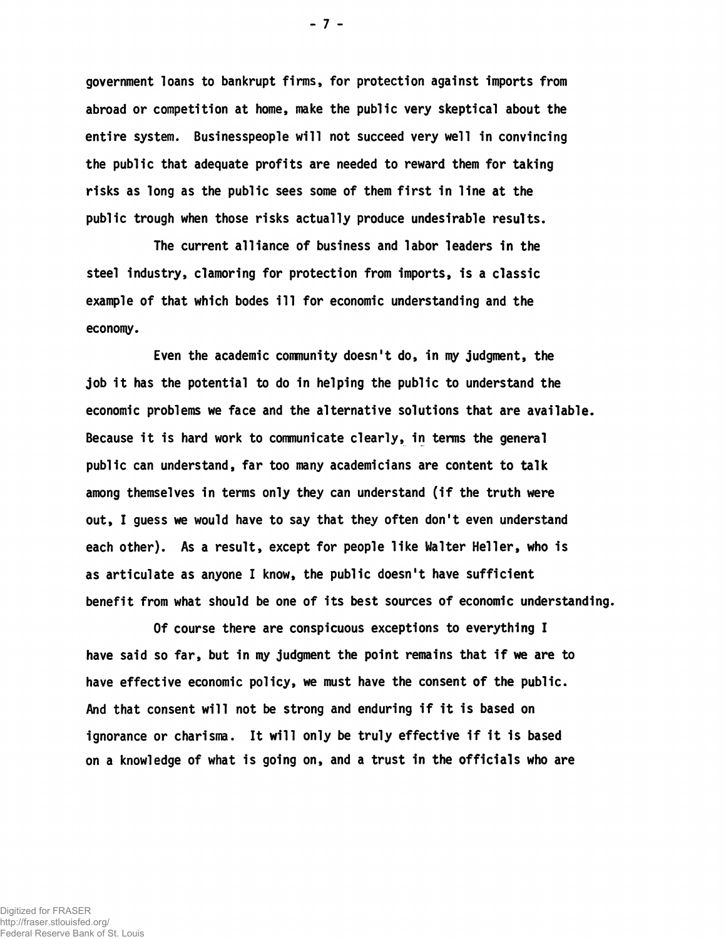government loans to bankrupt firms, for protection against imports from abroad or competition at home, make the public very skeptical about the entire system. Businesspeople will not succeed very well in convincing the public that adequate profits are needed to reward them for taking risks as long as the public sees some of them first in line at the public trough when those risks actually produce undesirable results.

The current alliance of business and labor leaders in the steel industry, clamoring for protection from imports, is a classic example of that which bodes ill for economic understanding and the economy.

Even the academic community doesn't do, in my judgment, the job it has the potential to do in helping the public to understand the economic problems we face and the alternative solutions that are available. Because it is hard work to communicate clearly, in terms the general public can understand, far too many academicians are content to talk among themselves in terms only they can understand (if the truth were out, I guess we would have to say that they often don't even understand each other). As a result, except for people like Walter Heller, who is as articulate as anyone I know, the public doesn't have sufficient benefit from what should be one of its best sources of economic understanding.

Of course there are conspicuous exceptions to everything I have said so far, but in my judgment the point remains that if we are to have effective economic policy, we must have the consent of the public. And that consent will not be strong and enduring if it is based on ignorance or charisma. It will only be truly effective if it 1s based on a knowledge of what is going on, and a trust in the officials who are

Digitized for FRASER http://fraser.stlouisfed.org/

Federal Reserve Bank of St. Louis

- 7 -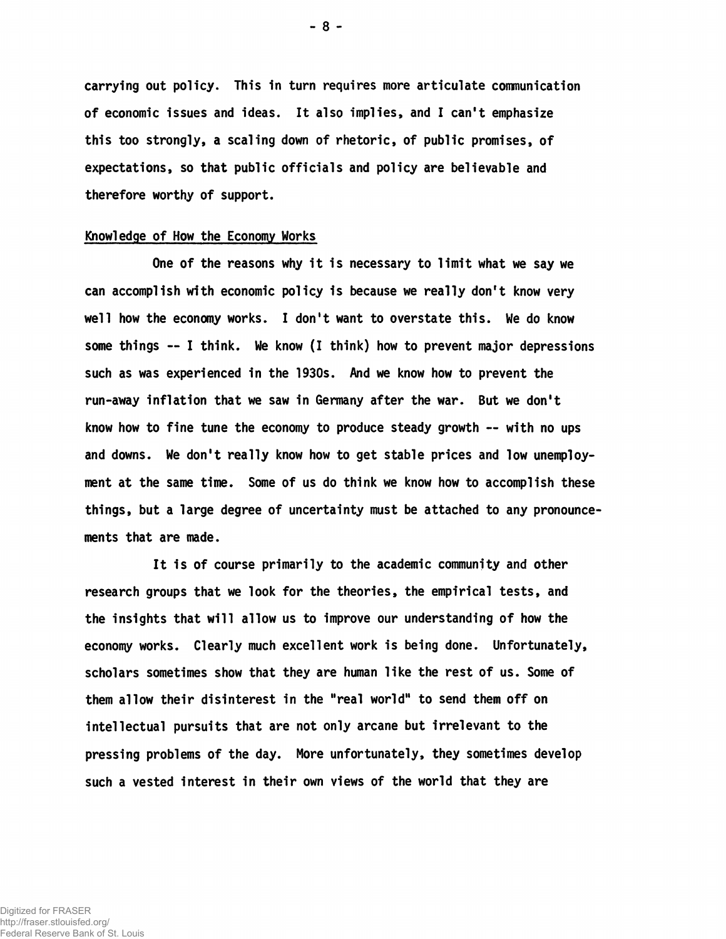carrying out policy. This in turn requires more articulate communication of economic issues and ideas. It also implies, and I can't emphasize this too strongly, a scaling down of rhetoric, of public promises, of expectations, so that public officials and policy are believable and therefore worthy of support.

## Knowledge of How the Economy Works

One of the reasons why it is necessary to limit what we say we can accomplish with economic policy 1s because we really don't know very well how the economy works. I don't want to overstate this. We do know some things — I think. We know (I think) how to prevent major depressions such as was experienced in the 1930s. And we know how to prevent the run-away inflation that we saw in Germany after the war. But we don't know how to fine tune the economy to produce steady growth — with no ups and downs. We don't really know how to get stable prices and low unemployment at the same time. Some of us do think we know how to accomplish these things, but a large degree of uncertainty must be attached to any pronouncements that are made.

It is of course primarily to the academic community and other research groups that we look for the theories, the empirical tests, and the insights that will allow us to improve our understanding of how the economy works. Clearly much excellent work is being done. Unfortunately, scholars sometimes show that they are human like the rest of us. Some of them allow their disinterest in the "real world" to send them off on intellectual pursuits that are not only arcane but irrelevant to the pressing problems of the day. More unfortunately, they sometimes develop such a vested interest in their own views of the world that they are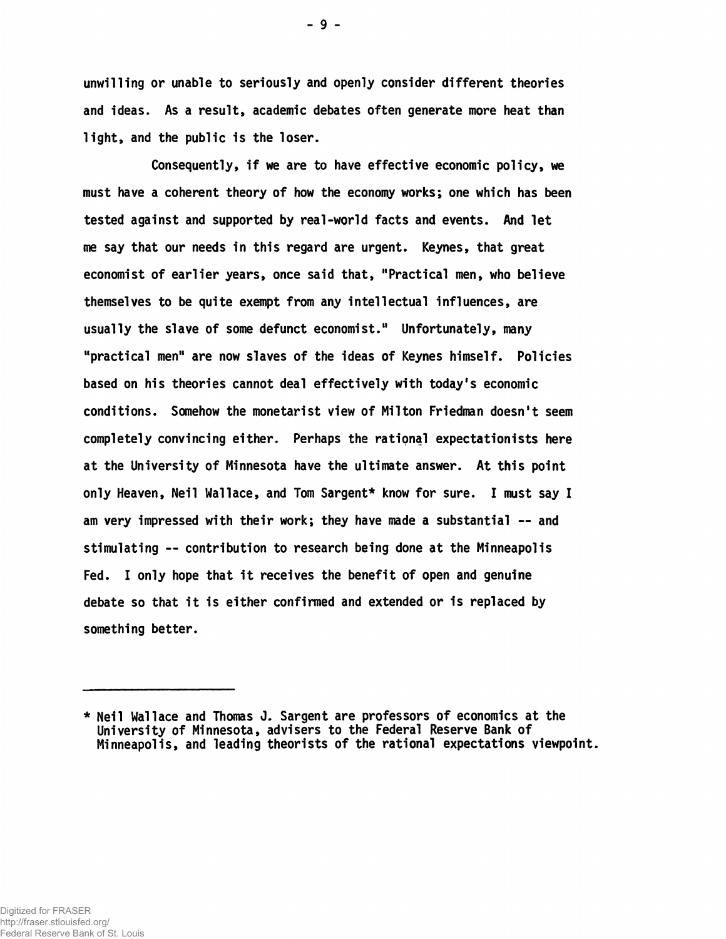unwilling or unable to seriously and openly consider different theories and ideas. As a result, academic debates often generate more heat than light, and the public is the loser.

Consequently, if we are to have effective economic policy, we must have a coherent theory of how the economy works; one which has been tested against and supported by real-world facts and events. And let me say that our needs in this regard are urgent. Keynes, that great economist of earlier years, once said that, "Practical men, who believe themselves to be quite exempt from any intellectual Influences, are usually the slave of some defunct economist." Unfortunately, many "practical men" are now slaves of the ideas of Keynes himself. Policies based on his theories cannot deal effectively with today's economic conditions. Somehow the monetarist view of Milton Friedman doesn't seem completely convincing either. Perhaps the rational expectationists here at the University of Minnesota have the ultimate answer. At this point only Heaven, Neil Wallace, and Tom Sargent\* know for sure. I must say I am very impressed with their work; they have made a substantial -- and stimulating — contribution to research being done at the Minneapolis Fed. I only hope that it receives the benefit of open and genuine debate so that it is either confirmed and extended or is replaced by something better.

<sup>\*</sup> Neil Wallace and Thomas J. Sargent are professors of economics at the University of Minnesota, advisers to the Federal Reserve Bank of Minneapolis, and leading theorists of the rational expectations viewpoint.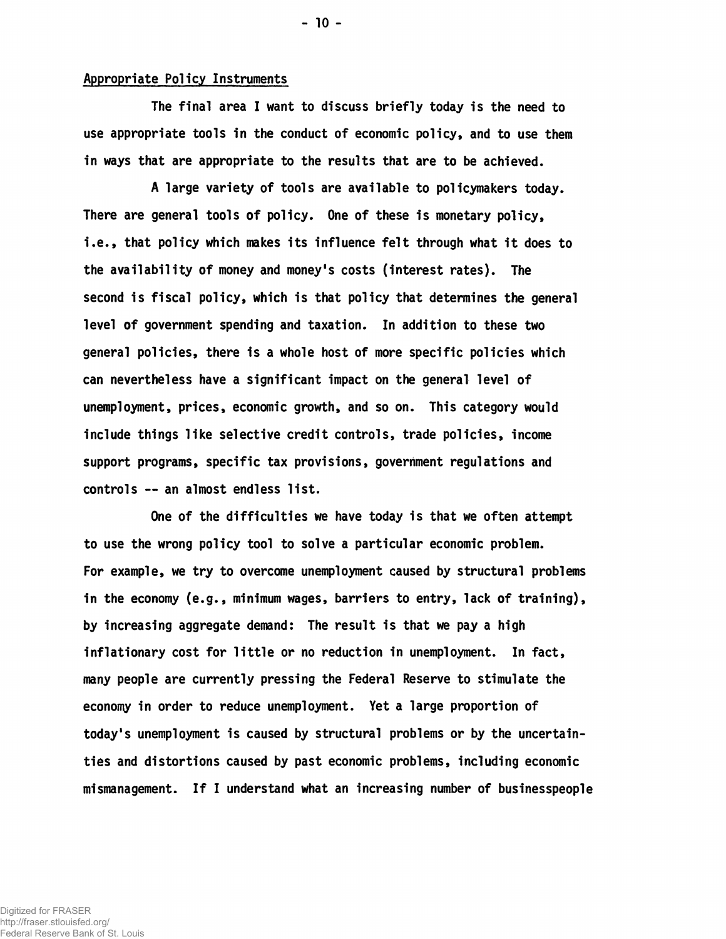## Appropriate Policy Instruments

The final area I want to discuss briefly today is the need to use appropriate tools in the conduct of economic policy, and to use them in ways that are appropriate to the results that are to be achieved.

A large variety of tools are available to policymakers today. There are general tools of policy. One of these is monetary policy, i.e., that policy which makes its influence felt through what it does to the availability of money and money's costs (interest rates). The second is fiscal policy, which is that policy that determines the general level of government spending and taxation. In addition to these two general policies, there is a whole host of more specific policies which can nevertheless have a significant impact on the general level of unemployment, prices, economic growth, and so on. This category would include things like selective credit controls, trade policies, income support programs, specific tax provisions, government regulations and controls — an almost endless list.

One of the difficulties we have today is that we often attempt to use the wrong policy tool to solve a particular economic problem. For example, we try to overcome unemployment caused by structural problems in the economy (e.g., minimum wages, barriers to entry, lack of training), by increasing aggregate demand: The result is that we pay a high inflationary cost for little or no reduction in unemployment. In fact, many people are currently pressing the Federal Reserve to stimulate the economy in order to reduce unemployment. Yet a large proportion of today's unemployment is caused by structural problems or by the uncertainties and distortions caused by past economic problems, including economic mismanagement. If I understand what an increasing number of businesspeople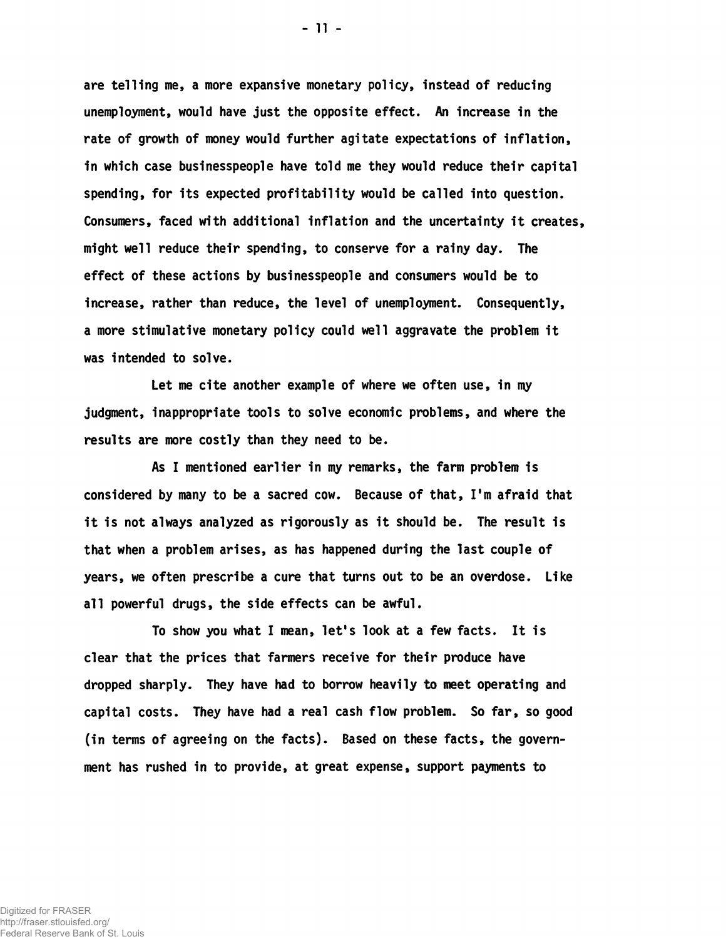are telling me, a more expansive monetary policy, instead of reducing unemployment, would have just the opposite effect. An increase in the rate of growth of money would further agitate expectations of inflation, 1n which case businesspeople have told me they would reduce their capital spending, for its expected profitability would be called into question. Consumers, faced with additional inflation and the uncertainty it creates, might well reduce their spending, to conserve for a rainy day. The effect of these actions by businesspeople and consumers would be to increase, rather than reduce, the level of unemployment. Consequently, a more stimulative monetary policy could well aggravate the problem it was intended to solve.

Let me cite another example of where we often use, in my judgment, inappropriate tools to solve economic problems, and where the results are more costly than they need to be.

As I mentioned earlier in my remarks, the farm problem is considered by many to be a sacred cow. Because of that, I'm afraid that it is not always analyzed as rigorously as it should be. The result is that when a problem arises, as has happened during the last couple of years, we often prescribe a cure that turns out to be an overdose. Like all powerful drugs, the side effects can be awful.

To show you what I mean, let's look at a few facts. It is clear that the prices that fanners receive for their produce have dropped sharply. They have had to borrow heavily to meet operating and capital costs. They have had a real cash flow problem. So far, so good (in terms of agreeing on the facts). Based on these facts, the government has rushed in to provide, at great expense, support payments to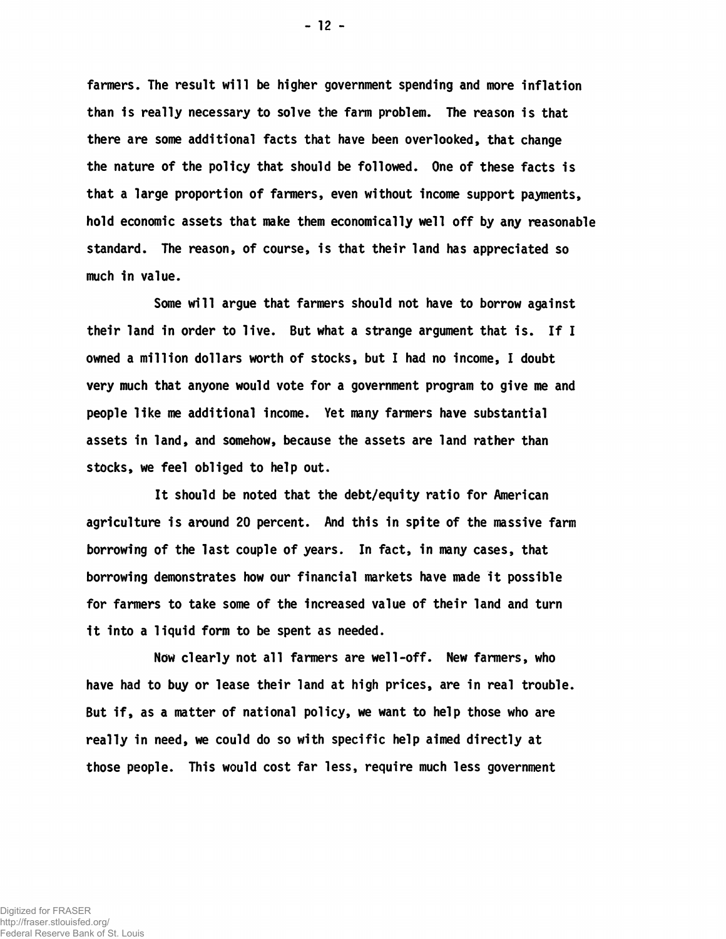fanners. The result will be higher government spending and more inflation than is really necessary to solve the farm problem. The reason is that there are some additional facts that have been overlooked, that change the nature of the policy that should be followed. One of these facts is that a large proportion of farmers, even without income support payments, hold economic assets that make them economically well off by any reasonable standard. The reason, of course, is that their land has appreciated so much in value.

Some will argue that farmers should not have to borrow against their land in order to live. But what a strange argument that is. If I owned a million dollars worth of stocks, but I had no income, I doubt very much that anyone would vote for a government program to give me and people like me additional income. Yet many farmers have substantial assets in land, and somehow, because the assets are land rather than stocks, we feel obliged to help out.

It should be noted that the debt/equity ratio for American agriculture is around 20 percent. And this in spite of the massive farm borrowing of the last couple of years. In fact, in many cases, that borrowing demonstrates how our financial markets have made it possible for farmers to take some of the increased value of their land and turn 1t into a liquid form to be spent as needed.

Now clearly not all farmers are well-off. New farmers, who have had to buy or lease their land at high prices, are in real trouble. But if, as a matter of national policy, we want to help those who are really in need, we could do so with specific help aimed directly at those people. This would cost far less, require much less government